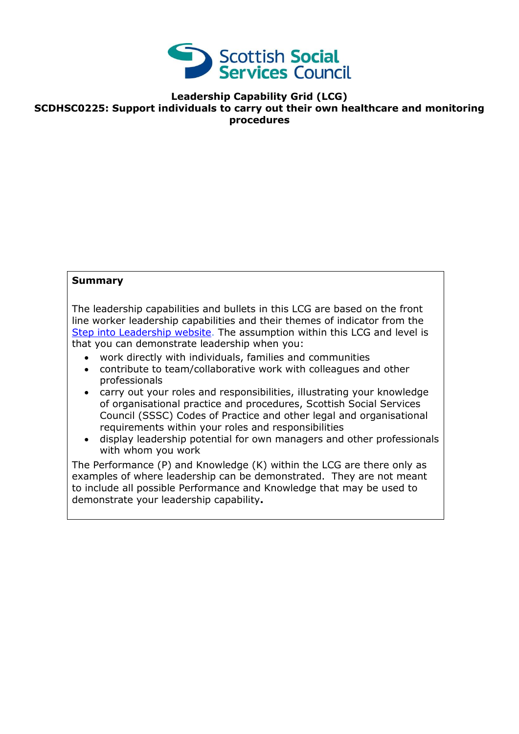

#### **Leadership Capability Grid (LCG) SCDHSC0225: Support individuals to carry out their own healthcare and monitoring procedures**

#### **Summary**

The leadership capabilities and bullets in this LCG are based on the front line worker leadership capabilities and their themes of indicator from the [Step into Leadership website.](http://www.stepintoleadership.info/) The assumption within this LCG and level is that you can demonstrate leadership when you:

- work directly with individuals, families and communities
- contribute to team/collaborative work with colleagues and other professionals
- carry out your roles and responsibilities, illustrating your knowledge of organisational practice and procedures, Scottish Social Services Council (SSSC) Codes of Practice and other legal and organisational requirements within your roles and responsibilities
- display leadership potential for own managers and other professionals with whom you work

The Performance (P) and Knowledge (K) within the LCG are there only as examples of where leadership can be demonstrated. They are not meant to include all possible Performance and Knowledge that may be used to demonstrate your leadership capability**.**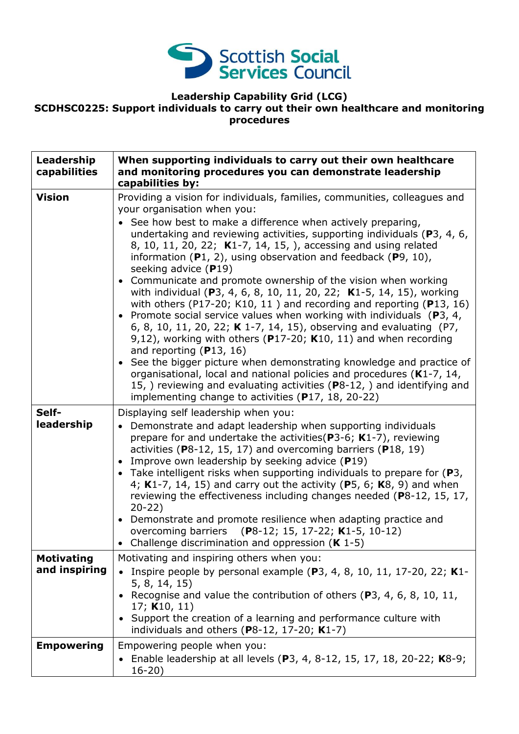

### **Leadership Capability Grid (LCG) SCDHSC0225: Support individuals to carry out their own healthcare and monitoring procedures**

| Leadership<br>capabilities         | When supporting individuals to carry out their own healthcare<br>and monitoring procedures you can demonstrate leadership<br>capabilities by:                                                                                                                                                                                                                                                                                                                                                                                                                                                                                                                                                                                                                                                                                                                                                                                                                                                                                                                                                                                                                                        |
|------------------------------------|--------------------------------------------------------------------------------------------------------------------------------------------------------------------------------------------------------------------------------------------------------------------------------------------------------------------------------------------------------------------------------------------------------------------------------------------------------------------------------------------------------------------------------------------------------------------------------------------------------------------------------------------------------------------------------------------------------------------------------------------------------------------------------------------------------------------------------------------------------------------------------------------------------------------------------------------------------------------------------------------------------------------------------------------------------------------------------------------------------------------------------------------------------------------------------------|
| <b>Vision</b>                      | Providing a vision for individuals, families, communities, colleagues and<br>your organisation when you:<br>• See how best to make a difference when actively preparing,<br>undertaking and reviewing activities, supporting individuals (P3, 4, 6,<br>8, 10, 11, 20, 22; K1-7, 14, 15, ), accessing and using related<br>information $(P1, 2)$ , using observation and feedback $(P9, 10)$ ,<br>seeking advice (P19)<br>• Communicate and promote ownership of the vision when working<br>with individual (P3, 4, 6, 8, 10, 11, 20, 22; K1-5, 14, 15), working<br>with others (P17-20; K10, 11) and recording and reporting (P13, 16)<br>• Promote social service values when working with individuals ( $P_3$ , 4,<br>6, 8, 10, 11, 20, 22; K 1-7, 14, 15), observing and evaluating (P7,<br>9,12), working with others ( $P17-20$ ; K10, 11) and when recording<br>and reporting $(P13, 16)$<br>• See the bigger picture when demonstrating knowledge and practice of<br>organisational, local and national policies and procedures (K1-7, 14,<br>15, ) reviewing and evaluating activities (P8-12, ) and identifying and<br>implementing change to activities $(P17, 18, 20-22)$ |
| Self-<br>leadership                | Displaying self leadership when you:<br>Demonstrate and adapt leadership when supporting individuals<br>$\bullet$<br>prepare for and undertake the activities ( $P3-6$ ; K1-7), reviewing<br>activities ( $P8-12$ , 15, 17) and overcoming barriers ( $P18$ , 19)<br>Improve own leadership by seeking advice (P19)<br>• Take intelligent risks when supporting individuals to prepare for $(P3,$<br>4; K1-7, 14, 15) and carry out the activity (P5, 6; K8, 9) and when<br>reviewing the effectiveness including changes needed (P8-12, 15, 17,<br>$20-22)$<br>• Demonstrate and promote resilience when adapting practice and<br>overcoming barriers (P8-12; 15, 17-22; K1-5, 10-12)<br>• Challenge discrimination and oppression $(K 1-5)$                                                                                                                                                                                                                                                                                                                                                                                                                                        |
| <b>Motivating</b><br>and inspiring | Motivating and inspiring others when you:<br>Inspire people by personal example $(P3, 4, 8, 10, 11, 17-20, 22; K1$<br>5, 8, 14, 15)<br>• Recognise and value the contribution of others (P3, 4, 6, 8, 10, 11,<br>17; $K10, 11$<br>• Support the creation of a learning and performance culture with<br>individuals and others ( $P8-12$ , 17-20; $K1-7$ )                                                                                                                                                                                                                                                                                                                                                                                                                                                                                                                                                                                                                                                                                                                                                                                                                            |
| <b>Empowering</b>                  | Empowering people when you:<br>• Enable leadership at all levels (P3, 4, 8-12, 15, 17, 18, 20-22; K8-9;<br>$16 - 20$                                                                                                                                                                                                                                                                                                                                                                                                                                                                                                                                                                                                                                                                                                                                                                                                                                                                                                                                                                                                                                                                 |